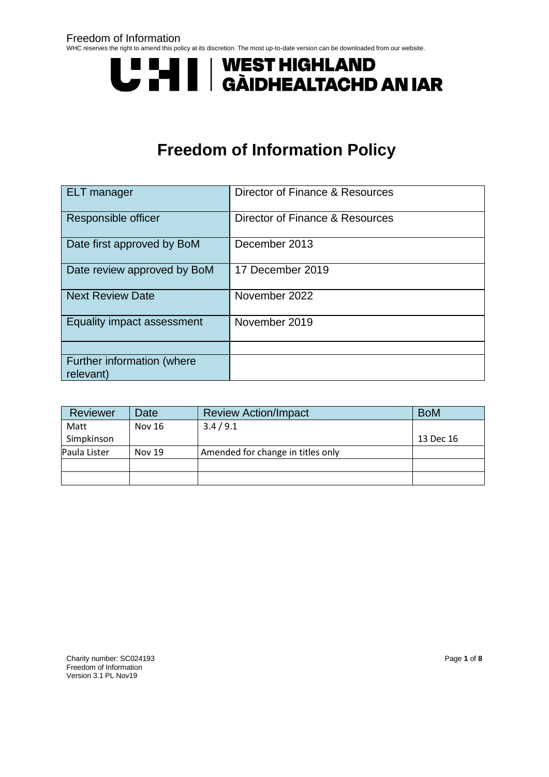# **UNITE | WEST HIGHLAND<br>UNITE | GÀIDHEALTACHD AN IAR**

# **Freedom of Information Policy**

| <b>ELT</b> manager                      | Director of Finance & Resources |
|-----------------------------------------|---------------------------------|
| Responsible officer                     | Director of Finance & Resources |
| Date first approved by BoM              | December 2013                   |
| Date review approved by BoM             | 17 December 2019                |
| <b>Next Review Date</b>                 | November 2022                   |
| Equality impact assessment              | November 2019                   |
|                                         |                                 |
| Further information (where<br>relevant) |                                 |

| <b>Reviewer</b> | Date          | <b>Review Action/Impact</b>       | <b>BoM</b> |
|-----------------|---------------|-----------------------------------|------------|
| Matt            | Nov 16        | 3.4/9.1                           |            |
| Simpkinson      |               |                                   | 13 Dec 16  |
| Paula Lister    | <b>Nov 19</b> | Amended for change in titles only |            |
|                 |               |                                   |            |
|                 |               |                                   |            |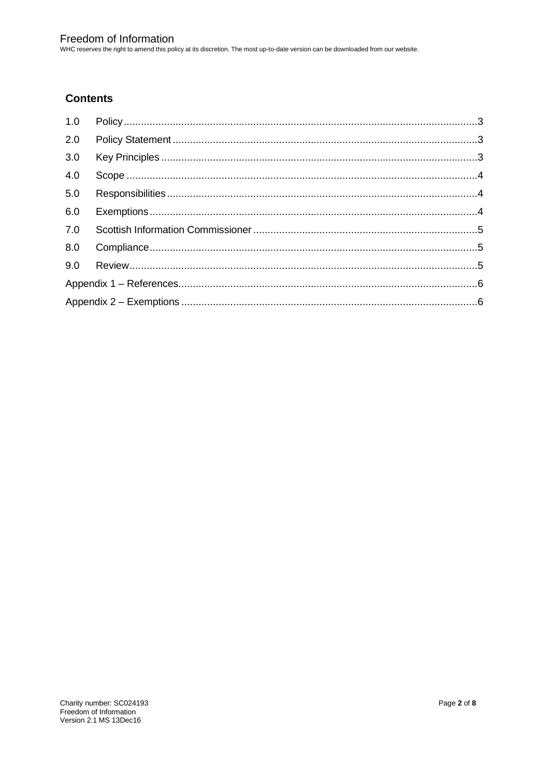WHC reserves the right to amend this policy at its discretion. The most up-to-date version can be downloaded from our website.

#### **Contents**

| 1.0 |  |
|-----|--|
| 2.0 |  |
| 3.0 |  |
| 4.0 |  |
| 5.0 |  |
| 6.0 |  |
| 7.0 |  |
|     |  |
|     |  |
|     |  |
|     |  |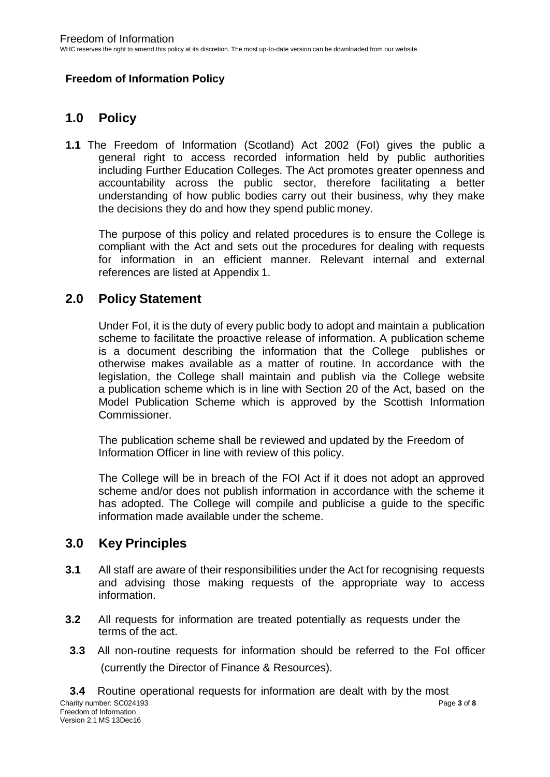#### **Freedom of Information Policy**

#### <span id="page-2-0"></span>**1.0 Policy**

**1.1** The Freedom of Information (Scotland) Act 2002 (FoI) gives the public a general right to access recorded information held by public authorities including Further Education Colleges. The Act promotes greater openness and accountability across the public sector, therefore facilitating a better understanding of how public bodies carry out their business, why they make the decisions they do and how they spend public money.

The purpose of this policy and related procedures is to ensure the College is compliant with the Act and sets out the procedures for dealing with requests for information in an efficient manner. Relevant internal and external references are listed at Appendix 1.

#### <span id="page-2-1"></span>**2.0 Policy Statement**

Under FoI, it is the duty of every public body to adopt and maintain a publication scheme to facilitate the proactive release of information. A publication scheme is a document describing the information that the College publishes or otherwise makes available as a matter of routine. In accordance with the legislation, the College shall maintain and publish via the College website a publication scheme which is in line with Section 20 of the Act, based on the Model Publication Scheme which is approved by the Scottish Information Commissioner.

The publication scheme shall be reviewed and updated by the Freedom of Information Officer in line with review of this policy.

The College will be in breach of the FOI Act if it does not adopt an approved scheme and/or does not publish information in accordance with the scheme it has adopted. The College will compile and publicise a guide to the specific information made available under the scheme.

#### <span id="page-2-2"></span>**3.0 Key Principles**

- **3.1** All staff are aware of their responsibilities under the Act for recognising requests and advising those making requests of the appropriate way to access information.
- **3.2** All requests for information are treated potentially as requests under the terms of the act.
- **3.3** All non-routine requests for information should be referred to the FoI officer (currently the Director of Finance & Resources).

Charity number: SC024193 Page **3** of **8 3.4** Routine operational requests for information are dealt with by the most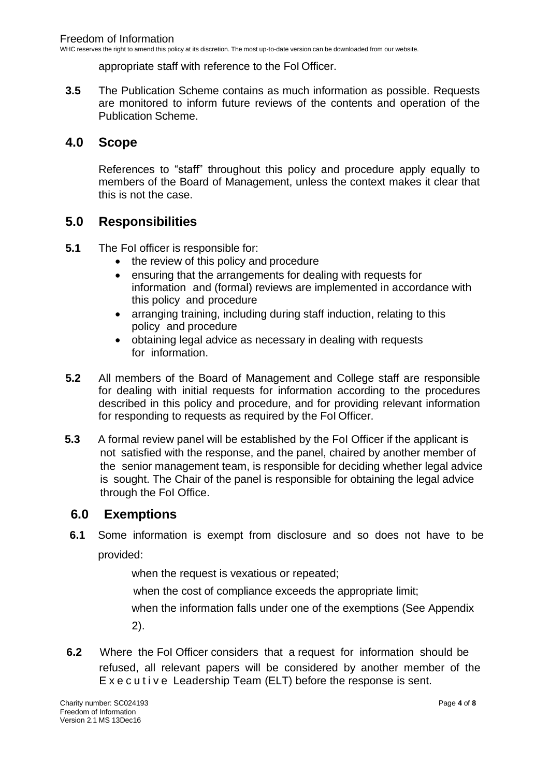WHC reserves the right to amend this policy at its discretion. The most up-to-date version can be downloaded from our website.

appropriate staff with reference to the FoI Officer.

**3.5** The Publication Scheme contains as much information as possible. Requests are monitored to inform future reviews of the contents and operation of the Publication Scheme.

#### <span id="page-3-0"></span>**4.0 Scope**

References to "staff" throughout this policy and procedure apply equally to members of the Board of Management, unless the context makes it clear that this is not the case.

#### <span id="page-3-1"></span>**5.0 Responsibilities**

- **5.1** The FoI officer is responsible for:
	- the review of this policy and procedure
	- ensuring that the arrangements for dealing with requests for information and (formal) reviews are implemented in accordance with this policy and procedure
	- arranging training, including during staff induction, relating to this policy and procedure
	- obtaining legal advice as necessary in dealing with requests for information.
- **5.2** All members of the Board of Management and College staff are responsible for dealing with initial requests for information according to the procedures described in this policy and procedure, and for providing relevant information for responding to requests as required by the FoI Officer.
- **5.3** A formal review panel will be established by the FoI Officer if the applicant is not satisfied with the response, and the panel, chaired by another member of the senior management team, is responsible for deciding whether legal advice is sought. The Chair of the panel is responsible for obtaining the legal advice through the FoI Office.

#### <span id="page-3-2"></span>**6.0 Exemptions**

**6.1** Some information is exempt from disclosure and so does not have to be provided:

when the request is vexatious or repeated;

when the cost of compliance exceeds the appropriate limit;

when the information falls under one of the exemptions (See Appendix

2).

**6.2** Where the FoI Officer considers that a request for information should be refused, all relevant papers will be considered by another member of the E x e c u t i v e Leadership Team (ELT) before the response is sent.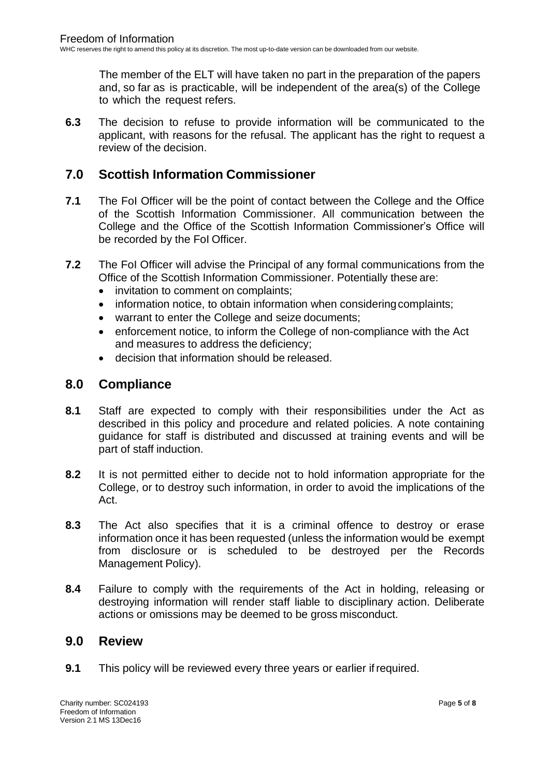The member of the ELT will have taken no part in the preparation of the papers and, so far as is practicable, will be independent of the area(s) of the College to which the request refers.

**6.3** The decision to refuse to provide information will be communicated to the applicant, with reasons for the refusal. The applicant has the right to request a review of the decision.

#### <span id="page-4-0"></span>**7.0 Scottish Information Commissioner**

- **7.1** The FoI Officer will be the point of contact between the College and the Office of the Scottish Information Commissioner. All communication between the College and the Office of the Scottish Information Commissioner's Office will be recorded by the FoI Officer.
- **7.2** The FoI Officer will advise the Principal of any formal communications from the Office of the Scottish Information Commissioner. Potentially these are:
	- invitation to comment on complaints;
	- information notice, to obtain information when considering complaints;
	- warrant to enter the College and seize documents;
	- enforcement notice, to inform the College of non-compliance with the Act and measures to address the deficiency;
	- decision that information should be released.

#### <span id="page-4-1"></span>**8.0 Compliance**

- **8.1** Staff are expected to comply with their responsibilities under the Act as described in this policy and procedure and related policies. A note containing guidance for staff is distributed and discussed at training events and will be part of staff induction.
- **8.2** It is not permitted either to decide not to hold information appropriate for the College, or to destroy such information, in order to avoid the implications of the Act.
- **8.3** The Act also specifies that it is a criminal offence to destroy or erase information once it has been requested (unless the information would be exempt from disclosure or is scheduled to be destroyed per the Records Management Policy).
- <span id="page-4-2"></span>**8.4** Failure to comply with the requirements of the Act in holding, releasing or destroying information will render staff liable to disciplinary action. Deliberate actions or omissions may be deemed to be gross misconduct.

#### **9.0 Review**

**9.1** This policy will be reviewed every three years or earlier if required.